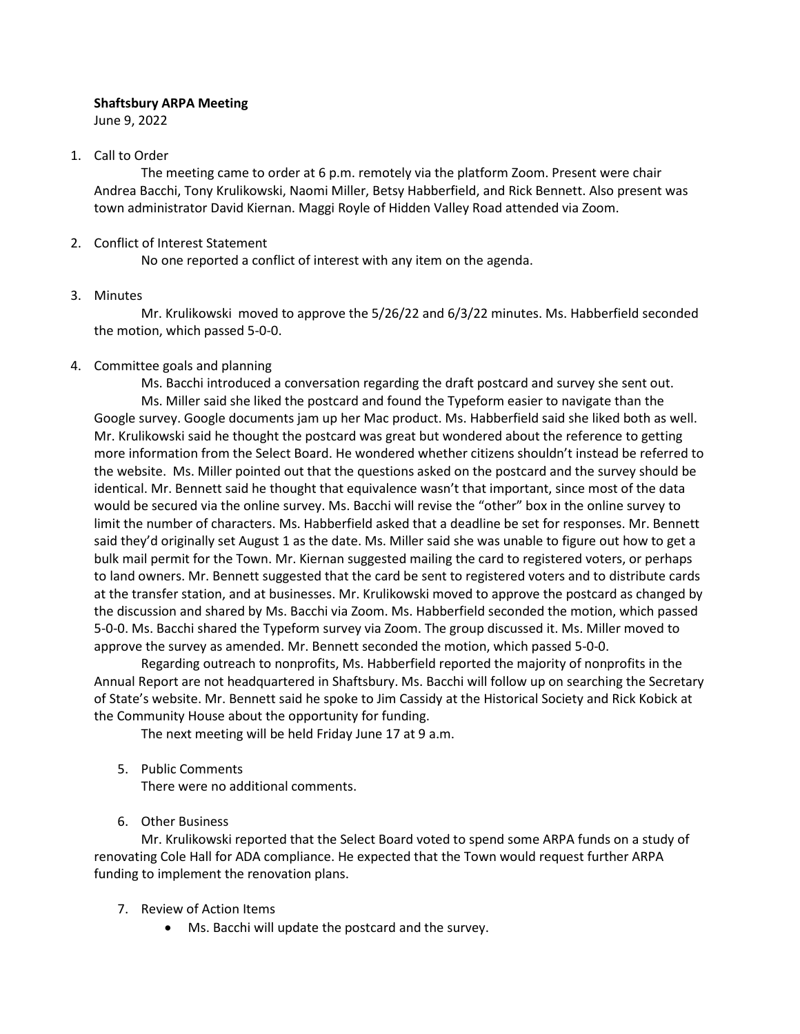## **Shaftsbury ARPA Meeting**

June 9, 2022

## 1. Call to Order

The meeting came to order at 6 p.m. remotely via the platform Zoom. Present were chair Andrea Bacchi, Tony Krulikowski, Naomi Miller, Betsy Habberfield, and Rick Bennett. Also present was town administrator David Kiernan. Maggi Royle of Hidden Valley Road attended via Zoom.

## 2. Conflict of Interest Statement

No one reported a conflict of interest with any item on the agenda.

#### 3. Minutes

Mr. Krulikowski moved to approve the 5/26/22 and 6/3/22 minutes. Ms. Habberfield seconded the motion, which passed 5-0-0.

## 4. Committee goals and planning

Ms. Bacchi introduced a conversation regarding the draft postcard and survey she sent out. Ms. Miller said she liked the postcard and found the Typeform easier to navigate than the Google survey. Google documents jam up her Mac product. Ms. Habberfield said she liked both as well. Mr. Krulikowski said he thought the postcard was great but wondered about the reference to getting more information from the Select Board. He wondered whether citizens shouldn't instead be referred to the website. Ms. Miller pointed out that the questions asked on the postcard and the survey should be identical. Mr. Bennett said he thought that equivalence wasn't that important, since most of the data would be secured via the online survey. Ms. Bacchi will revise the "other" box in the online survey to limit the number of characters. Ms. Habberfield asked that a deadline be set for responses. Mr. Bennett said they'd originally set August 1 as the date. Ms. Miller said she was unable to figure out how to get a bulk mail permit for the Town. Mr. Kiernan suggested mailing the card to registered voters, or perhaps to land owners. Mr. Bennett suggested that the card be sent to registered voters and to distribute cards at the transfer station, and at businesses. Mr. Krulikowski moved to approve the postcard as changed by the discussion and shared by Ms. Bacchi via Zoom. Ms. Habberfield seconded the motion, which passed 5-0-0. Ms. Bacchi shared the Typeform survey via Zoom. The group discussed it. Ms. Miller moved to approve the survey as amended. Mr. Bennett seconded the motion, which passed 5-0-0.

Regarding outreach to nonprofits, Ms. Habberfield reported the majority of nonprofits in the Annual Report are not headquartered in Shaftsbury. Ms. Bacchi will follow up on searching the Secretary of State's website. Mr. Bennett said he spoke to Jim Cassidy at the Historical Society and Rick Kobick at the Community House about the opportunity for funding.

The next meeting will be held Friday June 17 at 9 a.m.

- 5. Public Comments There were no additional comments.
- 6. Other Business

Mr. Krulikowski reported that the Select Board voted to spend some ARPA funds on a study of renovating Cole Hall for ADA compliance. He expected that the Town would request further ARPA funding to implement the renovation plans.

- 7. Review of Action Items
	- Ms. Bacchi will update the postcard and the survey.